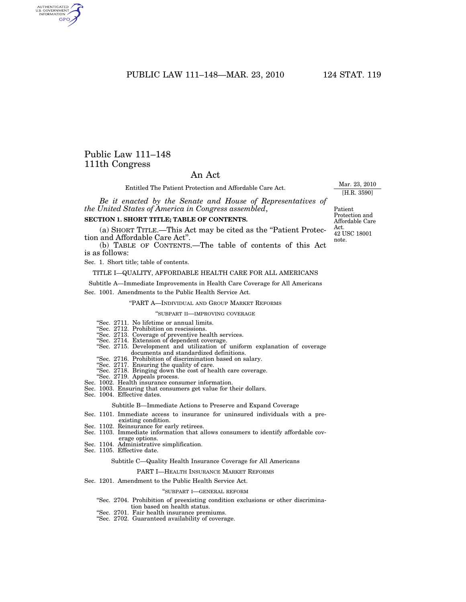# PUBLIC LAW 111–148—MAR. 23, 2010 124 STAT. 119

# Public Law 111–148 111th Congress

AUTHENTICATED<br>U.S. GOVERNMENT<br>INFORMATION **GPO** 

# An Act

Entitled The Patient Protection and Affordable Care Act.

*Be it enacted by the Senate and House of Representatives of the United States of America in Congress assembled*,

# **SECTION 1. SHORT TITLE; TABLE OF CONTENTS.**

(a) SHORT TITLE.—This Act may be cited as the ''Patient Protection and Affordable Care Act''.

(b) TABLE OF CONTENTS.—The table of contents of this Act is as follows:

Sec. 1. Short title; table of contents.

#### TITLE I—QUALITY, AFFORDABLE HEALTH CARE FOR ALL AMERICANS

Subtitle A—Immediate Improvements in Health Care Coverage for All Americans Sec. 1001. Amendments to the Public Health Service Act.

#### ''PART A—INDIVIDUAL AND GROUP MARKET REFORMS

#### ''SUBPART II—IMPROVING COVERAGE

- 
- ''Sec. 2711. No lifetime or annual limits. ''Sec. 2712. Prohibition on rescissions.
- ''Sec. 2713. Coverage of preventive health services. ''Sec. 2714. Extension of dependent coverage.
- 
- "Sec. 2715. Development and utilization of uniform explanation of coverage documents and standardized definitions.
- ''Sec. 2716. Prohibition of discrimination based on salary. ''Sec. 2717. Ensuring the quality of care.
- 
- ''Sec. 2718. Bringing down the cost of health care coverage.
- ''Sec. 2719. Appeals process.
- Sec. 1002. Health insurance consumer information.
- Sec. 1003. Ensuring that consumers get value for their dollars.
- Sec. 1004. Effective dates.

#### Subtitle B—Immediate Actions to Preserve and Expand Coverage

- Sec. 1101. Immediate access to insurance for uninsured individuals with a preexisting condition.
- Sec. 1102. Reinsurance for early retirees.
- Sec. 1103. Immediate information that allows consumers to identify affordable coverage options.
- Sec. 1104. Administrative simplification.
- Sec. 1105. Effective date.

#### Subtitle C—Quality Health Insurance Coverage for All Americans

### PART I—HEALTH INSURANCE MARKET REFORMS

Sec. 1201. Amendment to the Public Health Service Act.

#### ''SUBPART I—GENERAL REFORM

- ''Sec. 2704. Prohibition of preexisting condition exclusions or other discrimination based on health status.
- ''Sec. 2701. Fair health insurance premiums.
- ''Sec. 2702. Guaranteed availability of coverage.

42 USC 18001 note. Patient Protection and Affordable Care Act.

Mar. 23, 2010 [H.R. 3590]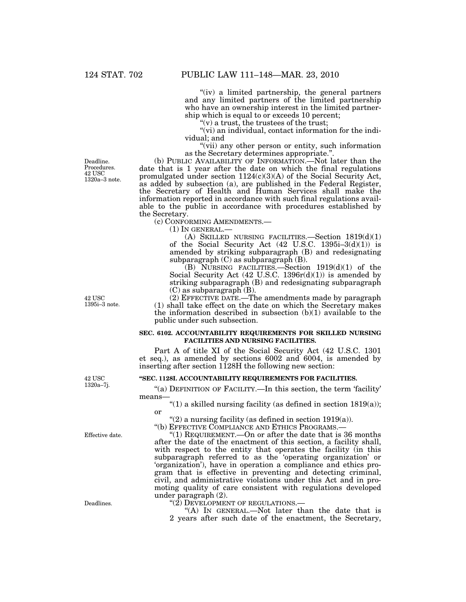"(iv) a limited partnership, the general partners and any limited partners of the limited partnership who have an ownership interest in the limited partnership which is equal to or exceeds 10 percent;

 $f(v)$  a trust, the trustees of the trust;

"(vi) an individual, contact information for the individual; and

''(vii) any other person or entity, such information as the Secretary determines appropriate.''.

(b) PUBLIC AVAILABILITY OF INFORMATION.—Not later than the date that is 1 year after the date on which the final regulations promulgated under section 1124(c)(3)(A) of the Social Security Act, as added by subsection (a), are published in the Federal Register, the Secretary of Health and Human Services shall make the information reported in accordance with such final regulations available to the public in accordance with procedures established by the Secretary.

(c) CONFORMING AMENDMENTS.—

(1) IN GENERAL.—

(A) SKILLED NURSING FACILITIES.—Section  $1819(d)(1)$ of the Social Security Act  $(42 \text{ U.S.C. } 1395\text{i} - 3(\text{d})(1))$  is amended by striking subparagraph (B) and redesignating subparagraph (C) as subparagraph (B).

(B) NURSING FACILITIES.—Section 1919(d)(1) of the Social Security Act  $(42 \text{ U.S.C. } 1396r(d)(1))$  is amended by striking subparagraph (B) and redesignating subparagraph (C) as subparagraph (B).

(2) EFFECTIVE DATE.—The amendments made by paragraph (1) shall take effect on the date on which the Secretary makes the information described in subsection  $(b)(1)$  available to the public under such subsection.

## **SEC. 6102. ACCOUNTABILITY REQUIREMENTS FOR SKILLED NURSING FACILITIES AND NURSING FACILITIES.**

Part A of title XI of the Social Security Act (42 U.S.C. 1301 et seq.), as amended by sections 6002 and 6004, is amended by inserting after section 1128H the following new section:

**''SEC. 1128I. ACCOUNTABILITY REQUIREMENTS FOR FACILITIES.** 

''(a) DEFINITION OF FACILITY.—In this section, the term 'facility' means—

"(1) a skilled nursing facility (as defined in section  $1819(a)$ ); or

"(2) a nursing facility (as defined in section  $1919(a)$ ).

''(b) EFFECTIVE COMPLIANCE AND ETHICS PROGRAMS.—

''(1) REQUIREMENT.—On or after the date that is 36 months after the date of the enactment of this section, a facility shall, with respect to the entity that operates the facility (in this subparagraph referred to as the 'operating organization' or 'organization'), have in operation a compliance and ethics program that is effective in preventing and detecting criminal, civil, and administrative violations under this Act and in promoting quality of care consistent with regulations developed under paragraph (2).

"(2) DEVELOPMENT OF REGULATIONS.—<br>"(A) IN GENERAL.—Not later than the date that is 2 years after such date of the enactment, the Secretary,

1320a–3 note.

Deadline. Procedures. 42 USC

42 USC 1395i–3 note.

Effective date.

42 USC 1320a–7j.

Deadlines.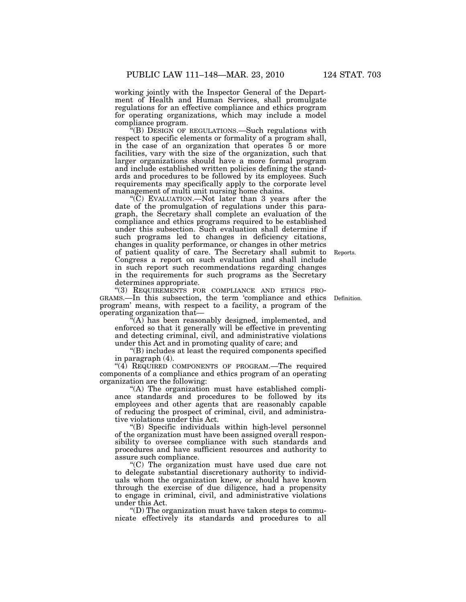working jointly with the Inspector General of the Department of Health and Human Services, shall promulgate regulations for an effective compliance and ethics program for operating organizations, which may include a model compliance program.

''(B) DESIGN OF REGULATIONS.—Such regulations with respect to specific elements or formality of a program shall, in the case of an organization that operates 5 or more facilities, vary with the size of the organization, such that larger organizations should have a more formal program and include established written policies defining the standards and procedures to be followed by its employees. Such requirements may specifically apply to the corporate level management of multi unit nursing home chains.

" $(C)$  EVALUATION.—Not later than 3 years after the date of the promulgation of regulations under this paragraph, the Secretary shall complete an evaluation of the compliance and ethics programs required to be established under this subsection. Such evaluation shall determine if such programs led to changes in deficiency citations, changes in quality performance, or changes in other metrics of patient quality of care. The Secretary shall submit to Reports. Congress a report on such evaluation and shall include in such report such recommendations regarding changes in the requirements for such programs as the Secretary determines appropriate.

''(3) REQUIREMENTS FOR COMPLIANCE AND ETHICS PRO-GRAMS.—In this subsection, the term 'compliance and ethics Definition. program' means, with respect to a facility, a program of the operating organization that—

 $\mathbb{I}(A)$  has been reasonably designed, implemented, and enforced so that it generally will be effective in preventing and detecting criminal, civil, and administrative violations under this Act and in promoting quality of care; and

''(B) includes at least the required components specified in paragraph (4).

"(4) REQUIRED COMPONENTS OF PROGRAM.—The required components of a compliance and ethics program of an operating organization are the following:

''(A) The organization must have established compliance standards and procedures to be followed by its employees and other agents that are reasonably capable of reducing the prospect of criminal, civil, and administrative violations under this Act.

''(B) Specific individuals within high-level personnel of the organization must have been assigned overall responsibility to oversee compliance with such standards and procedures and have sufficient resources and authority to assure such compliance.

''(C) The organization must have used due care not to delegate substantial discretionary authority to individuals whom the organization knew, or should have known through the exercise of due diligence, had a propensity to engage in criminal, civil, and administrative violations under this Act.

''(D) The organization must have taken steps to communicate effectively its standards and procedures to all